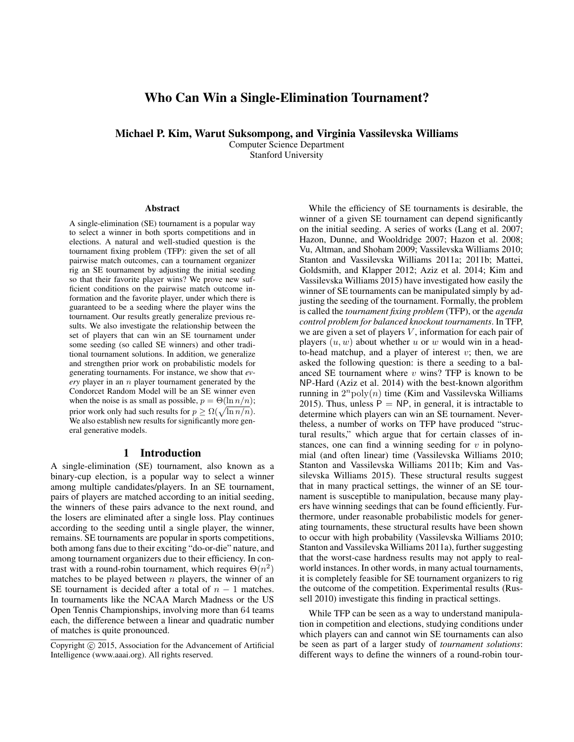# Who Can Win a Single-Elimination Tournament?

Michael P. Kim, Warut Suksompong, and Virginia Vassilevska Williams

Computer Science Department Stanford University

#### **Abstract**

A single-elimination (SE) tournament is a popular way to select a winner in both sports competitions and in elections. A natural and well-studied question is the tournament fixing problem (TFP): given the set of all pairwise match outcomes, can a tournament organizer rig an SE tournament by adjusting the initial seeding so that their favorite player wins? We prove new sufficient conditions on the pairwise match outcome information and the favorite player, under which there is guaranteed to be a seeding where the player wins the tournament. Our results greatly generalize previous results. We also investigate the relationship between the set of players that can win an SE tournament under some seeding (so called SE winners) and other traditional tournament solutions. In addition, we generalize and strengthen prior work on probabilistic models for generating tournaments. For instance, we show that *every* player in an n player tournament generated by the Condorcet Random Model will be an SE winner even when the noise is as small as possible,  $p = \Theta(\ln n/n)$ ; prior work only had such results for  $p \ge \Omega(\sqrt{\ln n/n})$ . We also establish new results for significantly more general generative models.

## 1 Introduction

A single-elimination (SE) tournament, also known as a binary-cup election, is a popular way to select a winner among multiple candidates/players. In an SE tournament, pairs of players are matched according to an initial seeding, the winners of these pairs advance to the next round, and the losers are eliminated after a single loss. Play continues according to the seeding until a single player, the winner, remains. SE tournaments are popular in sports competitions, both among fans due to their exciting "do-or-die" nature, and among tournament organizers due to their efficiency. In contrast with a round-robin tournament, which requires  $\Theta(n^2)$ matches to be played between  $n$  players, the winner of an SE tournament is decided after a total of  $n - 1$  matches. In tournaments like the NCAA March Madness or the US Open Tennis Championships, involving more than 64 teams each, the difference between a linear and quadratic number of matches is quite pronounced.

While the efficiency of SE tournaments is desirable, the winner of a given SE tournament can depend significantly on the initial seeding. A series of works (Lang et al. 2007; Hazon, Dunne, and Wooldridge 2007; Hazon et al. 2008; Vu, Altman, and Shoham 2009; Vassilevska Williams 2010; Stanton and Vassilevska Williams 2011a; 2011b; Mattei, Goldsmith, and Klapper 2012; Aziz et al. 2014; Kim and Vassilevska Williams 2015) have investigated how easily the winner of SE tournaments can be manipulated simply by adjusting the seeding of the tournament. Formally, the problem is called the *tournament fixing problem* (TFP), or the *agenda control problem for balanced knockout tournaments*. In TFP, we are given a set of players  $V$ , information for each pair of players  $(u, w)$  about whether u or w would win in a headto-head matchup, and a player of interest  $v$ ; then, we are asked the following question: is there a seeding to a balanced SE tournament where  $v$  wins? TFP is known to be NP-Hard (Aziz et al. 2014) with the best-known algorithm running in  $2^n$ poly $(n)$  time (Kim and Vassilevska Williams 2015). Thus, unless  $\hat{P} = NP$ , in general, it is intractable to determine which players can win an SE tournament. Nevertheless, a number of works on TFP have produced "structural results," which argue that for certain classes of instances, one can find a winning seeding for  $v$  in polynomial (and often linear) time (Vassilevska Williams 2010; Stanton and Vassilevska Williams 2011b; Kim and Vassilevska Williams 2015). These structural results suggest that in many practical settings, the winner of an SE tournament is susceptible to manipulation, because many players have winning seedings that can be found efficiently. Furthermore, under reasonable probabilistic models for generating tournaments, these structural results have been shown to occur with high probability (Vassilevska Williams 2010; Stanton and Vassilevska Williams 2011a), further suggesting that the worst-case hardness results may not apply to realworld instances. In other words, in many actual tournaments, it is completely feasible for SE tournament organizers to rig the outcome of the competition. Experimental results (Russell 2010) investigate this finding in practical settings.

While TFP can be seen as a way to understand manipulation in competition and elections, studying conditions under which players can and cannot win SE tournaments can also be seen as part of a larger study of *tournament solutions*: different ways to define the winners of a round-robin tour-

Copyright (c) 2015, Association for the Advancement of Artificial Intelligence (www.aaai.org). All rights reserved.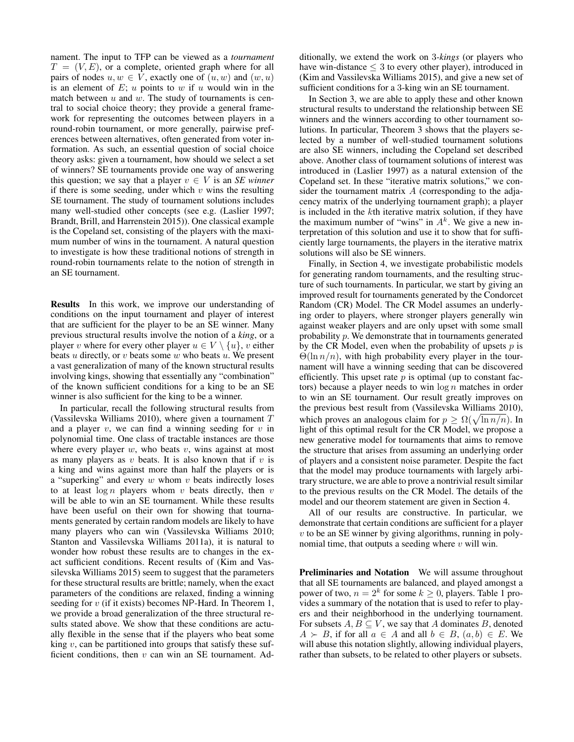nament. The input to TFP can be viewed as a *tournament*  $T = (V, E)$ , or a complete, oriented graph where for all pairs of nodes  $u, w \in V$ , exactly one of  $(u, w)$  and  $(w, u)$ is an element of  $E$ ;  $u$  points to  $w$  if  $u$  would win in the match between  $u$  and  $w$ . The study of tournaments is central to social choice theory; they provide a general framework for representing the outcomes between players in a round-robin tournament, or more generally, pairwise preferences between alternatives, often generated from voter information. As such, an essential question of social choice theory asks: given a tournament, how should we select a set of winners? SE tournaments provide one way of answering this question; we say that a player  $v \in V$  is an *SE winner* if there is some seeding, under which  $v$  wins the resulting SE tournament. The study of tournament solutions includes many well-studied other concepts (see e.g. (Laslier 1997; Brandt, Brill, and Harrenstein 2015)). One classical example is the Copeland set, consisting of the players with the maximum number of wins in the tournament. A natural question to investigate is how these traditional notions of strength in round-robin tournaments relate to the notion of strength in an SE tournament.

Results In this work, we improve our understanding of conditions on the input tournament and player of interest that are sufficient for the player to be an SE winner. Many previous structural results involve the notion of a *king*, or a player v where for every other player  $u \in V \setminus \{u\}$ , v either beats  $u$  directly, or  $v$  beats some  $w$  who beats  $u$ . We present a vast generalization of many of the known structural results involving kings, showing that essentially any "combination" of the known sufficient conditions for a king to be an SE winner is also sufficient for the king to be a winner.

In particular, recall the following structural results from (Vassilevska Williams 2010), where given a tournament  $T$ and a player  $v$ , we can find a winning seeding for  $v$  in polynomial time. One class of tractable instances are those where every player  $w$ , who beats  $v$ , wins against at most as many players as  $v$  beats. It is also known that if  $v$  is a king and wins against more than half the players or is a "superking" and every  $w$  whom  $v$  beats indirectly loses to at least  $\log n$  players whom v beats directly, then v will be able to win an SE tournament. While these results have been useful on their own for showing that tournaments generated by certain random models are likely to have many players who can win (Vassilevska Williams 2010; Stanton and Vassilevska Williams 2011a), it is natural to wonder how robust these results are to changes in the exact sufficient conditions. Recent results of (Kim and Vassilevska Williams 2015) seem to suggest that the parameters for these structural results are brittle; namely, when the exact parameters of the conditions are relaxed, finding a winning seeding for  $v$  (if it exists) becomes NP-Hard. In Theorem 1, we provide a broad generalization of the three structural results stated above. We show that these conditions are actually flexible in the sense that if the players who beat some king  $v$ , can be partitioned into groups that satisfy these sufficient conditions, then  $v$  can win an SE tournament. Additionally, we extend the work on 3*-kings* (or players who have win-distance  $\leq 3$  to every other player), introduced in (Kim and Vassilevska Williams 2015), and give a new set of sufficient conditions for a 3-king win an SE tournament.

In Section 3, we are able to apply these and other known structural results to understand the relationship between SE winners and the winners according to other tournament solutions. In particular, Theorem 3 shows that the players selected by a number of well-studied tournament solutions are also SE winners, including the Copeland set described above. Another class of tournament solutions of interest was introduced in (Laslier 1997) as a natural extension of the Copeland set. In these "iterative matrix solutions," we consider the tournament matrix  $A$  (corresponding to the adjacency matrix of the underlying tournament graph); a player is included in the kth iterative matrix solution, if they have the maximum number of "wins" in  $A<sup>k</sup>$ . We give a new interpretation of this solution and use it to show that for sufficiently large tournaments, the players in the iterative matrix solutions will also be SE winners.

Finally, in Section 4, we investigate probabilistic models for generating random tournaments, and the resulting structure of such tournaments. In particular, we start by giving an improved result for tournaments generated by the Condorcet Random (CR) Model. The CR Model assumes an underlying order to players, where stronger players generally win against weaker players and are only upset with some small probability p. We demonstrate that in tournaments generated by the CR Model, even when the probability of upsets  $p$  is  $\Theta(\ln n/n)$ , with high probability every player in the tournament will have a winning seeding that can be discovered efficiently. This upset rate  $p$  is optimal (up to constant factors) because a player needs to win  $\log n$  matches in order to win an SE tournament. Our result greatly improves on the previous best result from (Vassilevska Williams 2010), which proves an analogous claim for  $p \ge \Omega(\sqrt{\ln n/n})$ . In light of this optimal result for the CR Model, we propose a new generative model for tournaments that aims to remove the structure that arises from assuming an underlying order of players and a consistent noise parameter. Despite the fact that the model may produce tournaments with largely arbitrary structure, we are able to prove a nontrivial result similar to the previous results on the CR Model. The details of the model and our theorem statement are given in Section 4.

All of our results are constructive. In particular, we demonstrate that certain conditions are sufficient for a player  $v$  to be an SE winner by giving algorithms, running in polynomial time, that outputs a seeding where  $v$  will win.

Preliminaries and Notation We will assume throughout that all SE tournaments are balanced, and played amongst a power of two,  $n = 2^k$  for some  $k \ge 0$ , players. Table 1 provides a summary of the notation that is used to refer to players and their neighborhood in the underlying tournament. For subsets  $A, B \subseteq V$ , we say that A dominates B, denoted  $A \succ B$ , if for all  $a \in A$  and all  $b \in B$ ,  $(a, b) \in E$ . We will abuse this notation slightly, allowing individual players, rather than subsets, to be related to other players or subsets.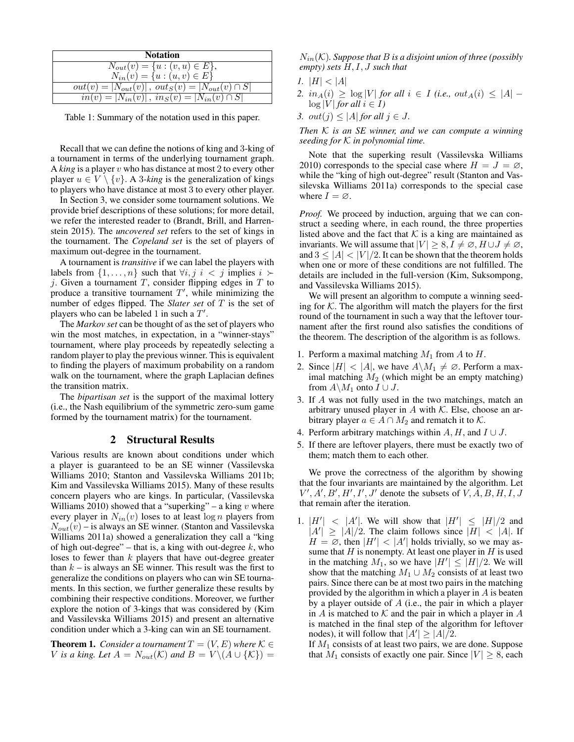| <b>Notation</b>                                            |
|------------------------------------------------------------|
| $N_{out}(v) = \{u : (v, u) \in E\},\$                      |
| $N_{in}(v) = \{u : (u, v) \in E\}$                         |
| $out(v) =  N_{out}(v) $ , $out_S(v) =  N_{out}(v) \cap S $ |
| $in(v) =  N_{in}(v) $ , $in_S(v) =  N_{in}(v) \cap S $     |

Table 1: Summary of the notation used in this paper.

Recall that we can define the notions of king and 3-king of a tournament in terms of the underlying tournament graph. A *king* is a player v who has distance at most 2 to every other player  $u \in V \setminus \{v\}$ . A 3-king is the generalization of kings to players who have distance at most 3 to every other player.

In Section 3, we consider some tournament solutions. We provide brief descriptions of these solutions; for more detail, we refer the interested reader to (Brandt, Brill, and Harrenstein 2015). The *uncovered set* refers to the set of kings in the tournament. The *Copeland set* is the set of players of maximum out-degree in the tournament.

A tournament is *transitive* if we can label the players with labels from  $\{1, \ldots, n\}$  such that  $\forall i, j \in \{j\}$  implies  $i \succ$ j. Given a tournament  $T$ , consider flipping edges in  $T$  to produce a transitive tournament  $T'$ , while minimizing the number of edges flipped. The *Slater set* of T is the set of players who can be labeled 1 in such a  $T'$ .

The *Markov set* can be thought of as the set of players who win the most matches, in expectation, in a "winner-stays" tournament, where play proceeds by repeatedly selecting a random player to play the previous winner. This is equivalent to finding the players of maximum probability on a random walk on the tournament, where the graph Laplacian defines the transition matrix.

The *bipartisan set* is the support of the maximal lottery (i.e., the Nash equilibrium of the symmetric zero-sum game formed by the tournament matrix) for the tournament.

### 2 Structural Results

Various results are known about conditions under which a player is guaranteed to be an SE winner (Vassilevska Williams 2010; Stanton and Vassilevska Williams 2011b; Kim and Vassilevska Williams 2015). Many of these results concern players who are kings. In particular, (Vassilevska Williams 2010) showed that a "superking" – a king  $v$  where every player in  $N_{in}(v)$  loses to at least  $\log n$  players from  $N_{out}(v)$  – is always an SE winner. (Stanton and Vassilevska Williams 2011a) showed a generalization they call a "king of high out-degree" – that is, a king with out-degree  $k$ , who loses to fewer than k players that have out-degree greater than  $k - i$ s always an SE winner. This result was the first to generalize the conditions on players who can win SE tournaments. In this section, we further generalize these results by combining their respective conditions. Moreover, we further explore the notion of 3-kings that was considered by (Kim and Vassilevska Williams 2015) and present an alternative condition under which a 3-king can win an SE tournament.

**Theorem 1.** *Consider a tournament*  $T = (V, E)$  *where*  $K \in$ V is a king. Let  $A = N_{out}(\mathcal{K})$  and  $B = V \setminus (A \cup \{\mathcal{K}\}) =$ 

 $N_{in}(\mathcal{K})$ . Suppose that B is a disjoint union of three (possibly *empty) sets* H, I, J *such that*

- *1.*  $|H| < |A|$
- *2.*  $in_A(i)$  ≥  $log|V|$  *for all*  $i \in I$  *(i.e., out<sub>A</sub>*(*i*) ≤ |*A*| −  $\log |V|$  *for all*  $i \in I$ *)*
- *3.*  $out(j) \leq |A|$  *for all*  $j \in J$ *.*

*Then* K *is an SE winner, and we can compute a winning seeding for* K *in polynomial time.*

Note that the superking result (Vassilevska Williams 2010) corresponds to the special case where  $H = J = \emptyset$ , while the "king of high out-degree" result (Stanton and Vassilevska Williams 2011a) corresponds to the special case where  $I = \emptyset$ .

*Proof.* We proceed by induction, arguing that we can construct a seeding where, in each round, the three properties listed above and the fact that  $K$  is a king are maintained as invariants. We will assume that  $|V| > 8$ ,  $I \neq \emptyset$ ,  $H \cup J \neq \emptyset$ , and  $3 \leq |A| < |V|/2$ . It can be shown that the theorem holds when one or more of these conditions are not fulfilled. The details are included in the full-version (Kim, Suksompong, and Vassilevska Williams 2015).

We will present an algorithm to compute a winning seeding for  $K$ . The algorithm will match the players for the first round of the tournament in such a way that the leftover tournament after the first round also satisfies the conditions of the theorem. The description of the algorithm is as follows.

- 1. Perform a maximal matching  $M_1$  from A to H.
- 2. Since  $|H| < |A|$ , we have  $A \backslash M_1 \neq \emptyset$ . Perform a maximal matching  $M_2$  (which might be an empty matching) from  $A\backslash M_1$  onto  $I\cup J$ .
- 3. If A was not fully used in the two matchings, match an arbitrary unused player in A with  $K$ . Else, choose an arbitrary player  $a \in A \cap M_2$  and rematch it to K.
- 4. Perform arbitrary matchings within  $A, H$ , and  $I \cup J$ .
- 5. If there are leftover players, there must be exactly two of them; match them to each other.

We prove the correctness of the algorithm by showing that the four invariants are maintained by the algorithm. Let  $V', A', B', H', I', J'$  denote the subsets of  $V, A, B, H, I, J$ that remain after the iteration.

1.  $|H'| < |A'|$ . We will show that  $|H'| \leq |H|/2$  and  $|A'| \geq |A|/2$ . The claim follows since  $|H| < |A|$ . If  $H = \emptyset$ , then  $|H'| < |A'|$  holds trivially, so we may assume that  $H$  is nonempty. At least one player in  $H$  is used in the matching  $M_1$ , so we have  $|H'| \leq |H|/2$ . We will show that the matching  $M_1 \cup M_2$  consists of at least two pairs. Since there can be at most two pairs in the matching provided by the algorithm in which a player in A is beaten by a player outside of  $A$  (i.e., the pair in which a player in  $A$  is matched to  $K$  and the pair in which a player in  $A$ is matched in the final step of the algorithm for leftover nodes), it will follow that  $|A'| \geq |A|/2$ .

If  $M_1$  consists of at least two pairs, we are done. Suppose that  $M_1$  consists of exactly one pair. Since  $|V| \geq 8$ , each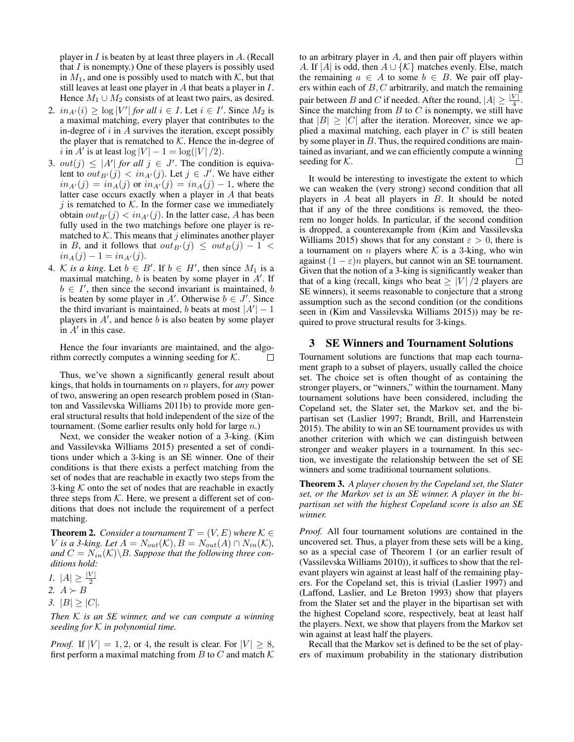player in  $I$  is beaten by at least three players in  $A$ . (Recall that  $I$  is nonempty.) One of these players is possibly used in  $M_1$ , and one is possibly used to match with  $K$ , but that still leaves at least one player in A that beats a player in I. Hence  $M_1 \cup M_2$  consists of at least two pairs, as desired.

- 2.  $in_{A'}(i) \ge \log |V'|$  for all  $i \in I$ . Let  $i \in I'$ . Since  $M_2$  is a maximal matching, every player that contributes to the in-degree of  $i$  in  $A$  survives the iteration, except possibly the player that is rematched to  $K$ . Hence the in-degree of i in  $A'$  is at least  $\log |V| - 1 = \log(|V|/2)$ .
- 3.  $out(j) \leq |A'|$  for all  $j \in J'$ . The condition is equivalent to  $out_{B'}(j) < in_{A'}(j)$ . Let  $j \in J'$ . We have either  $in_{A'}(j) = in_A(j)$  or  $in_{A'}(j) = in_A(j) - 1$ , where the latter case occurs exactly when a player in A that beats j is rematched to  $K$ . In the former case we immediately obtain  $out_{B'}(j) < in_{A'}(j)$ . In the latter case, A has been fully used in the two matchings before one player is rematched to  $K$ . This means that j eliminates another player in B, and it follows that  $out_{B'}(j) \le out_B(j) - 1$  $in_A(j) - 1 = in_{A'}(j).$
- 4. K is a king. Let  $b \in B'$ . If  $b \in H'$ , then since  $M_1$  is a maximal matching,  $b$  is beaten by some player in  $A'$ . If  $b \in I'$ , then since the second invariant is maintained, b is beaten by some player in A'. Otherwise  $b \in J'$ . Since the third invariant is maintained, b beats at most  $|A'|-1$ players in  $A'$ , and hence  $b$  is also beaten by some player in  $A'$  in this case.

Hence the four invariants are maintained, and the algorithm correctly computes a winning seeding for  $K$ .  $\Box$ 

Thus, we've shown a significantly general result about kings, that holds in tournaments on n players, for *any* power of two, answering an open research problem posed in (Stanton and Vassilevska Williams 2011b) to provide more general structural results that hold independent of the size of the tournament. (Some earlier results only hold for large n.)

Next, we consider the weaker notion of a 3-king. (Kim and Vassilevska Williams 2015) presented a set of conditions under which a 3-king is an SE winner. One of their conditions is that there exists a perfect matching from the set of nodes that are reachable in exactly two steps from the 3-king  $K$  onto the set of nodes that are reachable in exactly three steps from  $K$ . Here, we present a different set of conditions that does not include the requirement of a perfect matching.

**Theorem 2.** *Consider a tournament*  $T = (V, E)$  *where*  $K \in$ V is a 3-king. Let  $A = N_{out}(\mathcal{K}), B = N_{out}(A) \cap N_{in}(\mathcal{K}),$ and  $C = N_{in}(\mathcal{K}) \backslash B$ *. Suppose that the following three conditions hold:*

*1.*  $|A| \ge \frac{|V|}{2}$ <br>2.  $A \succ B$ *3.*  $|B| \geq |C|$ *.* 

*Then* K *is an SE winner, and we can compute a winning seeding for* K *in polynomial time.*

*Proof.* If  $|V| = 1, 2$ , or 4, the result is clear. For  $|V| \geq 8$ , first perform a maximal matching from B to C and match  $K$  to an arbitrary player in A, and then pair off players within A. If |A| is odd, then  $A \cup {\mathcal{K}}$  matches evenly. Else, match the remaining  $a \in A$  to some  $b \in B$ . We pair off players within each of  $B, C$  arbitrarily, and match the remaining pair between B and C if needed. After the round,  $|A| \geq \frac{|V|}{4}$ . Since the matching from B to C is nonempty, we still have that  $|B| > |C|$  after the iteration. Moreover, since we applied a maximal matching, each player in  $C$  is still beaten by some player in  $B$ . Thus, the required conditions are maintained as invariant, and we can efficiently compute a winning seeding for  $K$ . П

It would be interesting to investigate the extent to which we can weaken the (very strong) second condition that all players in  $A$  beat all players in  $B$ . It should be noted that if any of the three conditions is removed, the theorem no longer holds. In particular, if the second condition is dropped, a counterexample from (Kim and Vassilevska Williams 2015) shows that for any constant  $\varepsilon > 0$ , there is a tournament on  $n$  players where  $K$  is a 3-king, who win against  $(1 - \varepsilon)n$  players, but cannot win an SE tournament. Given that the notion of a 3-king is significantly weaker than that of a king (recall, kings who beat  $\geq |V|/2$  players are SE winners), it seems reasonable to conjecture that a strong assumption such as the second condition (or the conditions seen in (Kim and Vassilevska Williams 2015)) may be required to prove structural results for 3-kings.

## 3 SE Winners and Tournament Solutions

Tournament solutions are functions that map each tournament graph to a subset of players, usually called the choice set. The choice set is often thought of as containing the stronger players, or "winners," within the tournament. Many tournament solutions have been considered, including the Copeland set, the Slater set, the Markov set, and the bipartisan set (Laslier 1997; Brandt, Brill, and Harrenstein 2015). The ability to win an SE tournament provides us with another criterion with which we can distinguish between stronger and weaker players in a tournament. In this section, we investigate the relationship between the set of SE winners and some traditional tournament solutions.

Theorem 3. *A player chosen by the Copeland set, the Slater set, or the Markov set is an SE winner. A player in the bipartisan set with the highest Copeland score is also an SE winner.*

*Proof.* All four tournament solutions are contained in the uncovered set. Thus, a player from these sets will be a king, so as a special case of Theorem 1 (or an earlier result of (Vassilevska Williams 2010)), it suffices to show that the relevant players win against at least half of the remaining players. For the Copeland set, this is trivial (Laslier 1997) and (Laffond, Laslier, and Le Breton 1993) show that players from the Slater set and the player in the bipartisan set with the highest Copeland score, respectively, beat at least half the players. Next, we show that players from the Markov set win against at least half the players.

Recall that the Markov set is defined to be the set of players of maximum probability in the stationary distribution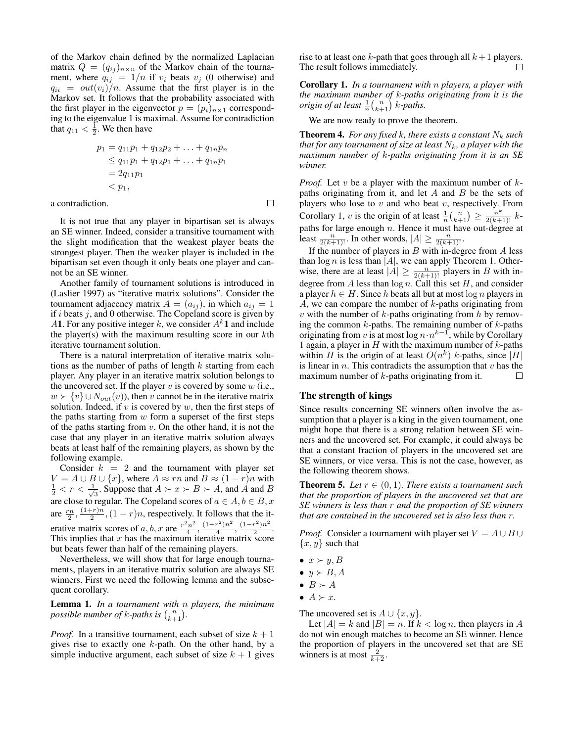of the Markov chain defined by the normalized Laplacian matrix  $Q = (q_{ij})_{n \times n}$  of the Markov chain of the tournament, where  $q_{ij} = 1/n$  if  $v_i$  beats  $v_j$  (0 otherwise) and  $q_{ii} = out(v_i)/n$ . Assume that the first player is in the Markov set. It follows that the probability associated with the first player in the eigenvector  $p = (p_i)_{n \times 1}$  corresponding to the eigenvalue 1 is maximal. Assume for contradiction that  $q_{11} < \frac{1}{2}$ . We then have

$$
p_1 = q_{11}p_1 + q_{12}p_2 + \dots + q_{1n}p_n
$$
  
\n
$$
\leq q_{11}p_1 + q_{12}p_1 + \dots + q_{1n}p_1
$$
  
\n
$$
= 2q_{11}p_1
$$
  
\n
$$
< p_1,
$$

 $\Box$ 

a contradiction.

It is not true that any player in bipartisan set is always an SE winner. Indeed, consider a transitive tournament with the slight modification that the weakest player beats the strongest player. Then the weaker player is included in the bipartisan set even though it only beats one player and cannot be an SE winner.

Another family of tournament solutions is introduced in (Laslier 1997) as "iterative matrix solutions". Consider the tournament adjacency matrix  $A = (a_{ij})$ , in which  $a_{ij} = 1$ if  $i$  beats  $j$ , and 0 otherwise. The Copeland score is given by A1. For any positive integer k, we consider  $A^k$ 1 and include the player(s) with the maximum resulting score in our  $k$ th iterative tournament solution.

There is a natural interpretation of iterative matrix solutions as the number of paths of length  $k$  starting from each player. Any player in an iterative matrix solution belongs to the uncovered set. If the player  $v$  is covered by some  $w$  (i.e.,  $w \succ \{v\} \cup N_{out}(v)$ , then v cannot be in the iterative matrix solution. Indeed, if  $v$  is covered by  $w$ , then the first steps of the paths starting from  $w$  form a superset of the first steps of the paths starting from  $v$ . On the other hand, it is not the case that any player in an iterative matrix solution always beats at least half of the remaining players, as shown by the following example.

Consider  $k = 2$  and the tournament with player set  $V = A \cup B \cup \{x\}$ , where  $A \approx rn$  and  $B \approx (1 - r)n$  with  $\frac{1}{2} < r < \frac{1}{\sqrt{2}}$  $\overline{3}$ . Suppose that  $A \succ x \succ B \succ A$ , and A and B are close to regular. The Copeland scores of  $a \in A, b \in B, x$ are  $\frac{rn}{2}$ ,  $\frac{(1+r)n}{2}$  $\frac{(-r)n}{2}$ ,  $(1 - r)n$ , respectively. It follows that the iterative matrix scores of a, b, x are  $\frac{r^2 n^2}{4}$  $\frac{(1+r^2)n^2}{4}$  $\frac{(n^2)n^2}{4}, \frac{(1-r^2)n^2}{2}$  $rac{r}{2}$ . This implies that  $x$  has the maximum iterative matrix score but beats fewer than half of the remaining players.

Nevertheless, we will show that for large enough tournaments, players in an iterative matrix solution are always SE winners. First we need the following lemma and the subsequent corollary.

Lemma 1. *In a tournament with* n *players, the minimum possible number of k-paths is*  $\binom{n}{k+1}$ *.* 

*Proof.* In a transitive tournament, each subset of size  $k + 1$ gives rise to exactly one  $k$ -path. On the other hand, by a simple inductive argument, each subset of size  $k + 1$  gives rise to at least one k-path that goes through all  $k+1$  players. The result follows immediately.  $\Box$ 

Corollary 1. *In a tournament with* n *players, a player with the maximum number of* k*-paths originating from it is the origin of at least*  $\frac{1}{n} {n \choose k+1}$  *k*-*paths.* 

We are now ready to prove the theorem.

**Theorem 4.** *For any fixed k, there exists a constant*  $N_k$  *such that for any tournament of size at least*  $N_k$ *, a player with the maximum number of* k*-paths originating from it is an SE winner.*

*Proof.* Let  $v$  be a player with the maximum number of  $k$ paths originating from it, and let  $A$  and  $B$  be the sets of players who lose to  $v$  and who beat  $v$ , respectively. From Corollary 1, v is the origin of at least  $\frac{1}{n} {n \choose k+1} \geq \frac{n^k}{2(k+1)!} k$ paths for large enough  $n$ . Hence it must have out-degree at least  $\frac{n}{2(k+1)!}$ . In other words,  $|A| \ge \frac{n}{2(k+1)!}$ .

If the number of players in  $B$  with in-degree from  $A$  less than  $\log n$  is less than  $|A|$ , we can apply Theorem 1. Otherwise, there are at least  $|A| \ge \frac{n}{2(k+1)!}$  players in B with indegree from A less than  $\log n$ . Call this set H, and consider a player  $h \in H$ . Since h beats all but at most  $\log n$  players in A, we can compare the number of  $k$ -paths originating from  $v$  with the number of  $k$ -paths originating from  $h$  by removing the common  $k$ -paths. The remaining number of  $k$ -paths originating from v is at most  $\log n \cdot n^{k-1}$ , while by Corollary 1 again, a player in  $H$  with the maximum number of  $k$ -paths within H is the origin of at least  $O(n^k)$  k-paths, since |H| is linear in  $n$ . This contradicts the assumption that  $v$  has the maximum number of  $k$ -paths originating from it.  $\Box$ 

### The strength of kings

Since results concerning SE winners often involve the assumption that a player is a king in the given tournament, one might hope that there is a strong relation between SE winners and the uncovered set. For example, it could always be that a constant fraction of players in the uncovered set are SE winners, or vice versa. This is not the case, however, as the following theorem shows.

**Theorem 5.** *Let*  $r \in (0, 1)$ *. There exists a tournament such that the proportion of players in the uncovered set that are SE winners is less than* r *and the proportion of SE winners that are contained in the uncovered set is also less than* r*.*

*Proof.* Consider a tournament with player set  $V = A \cup B \cup$  ${x, y}$  such that

- $x \succ y, B$
- $y \succ B, A$
- $\bullet$   $B \succ A$
- $A \succ x$ .

The uncovered set is  $A \cup \{x, y\}.$ 

Let  $|A| = k$  and  $|B| = n$ . If  $k < \log n$ , then players in A do not win enough matches to become an SE winner. Hence the proportion of players in the uncovered set that are SE winners is at most  $\frac{2}{k+2}$ .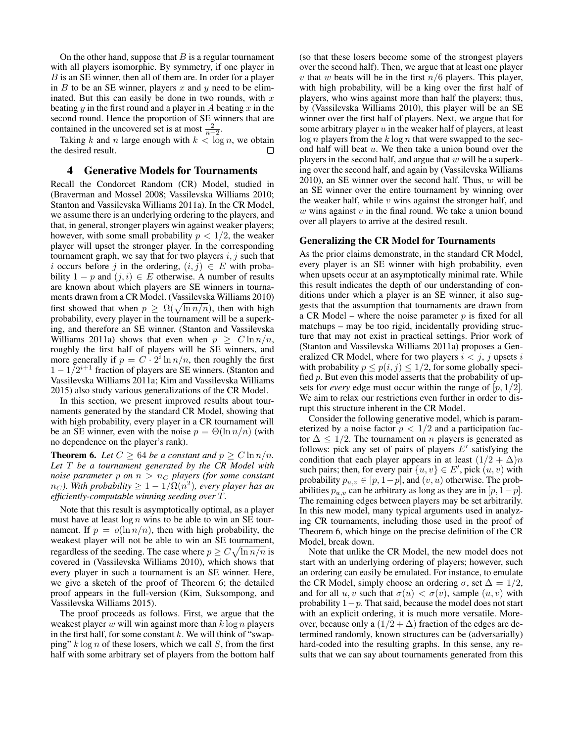On the other hand, suppose that  $B$  is a regular tournament with all players isomorphic. By symmetry, if one player in B is an SE winner, then all of them are. In order for a player in  $B$  to be an SE winner, players  $x$  and  $y$  need to be eliminated. But this can easily be done in two rounds, with  $x$ beating y in the first round and a player in A beating  $x$  in the second round. Hence the proportion of SE winners that are contained in the uncovered set is at most  $\frac{2}{n+2}$ .

Taking k and n large enough with  $k < \log n$ , we obtain the desired result.  $\Box$ 

### 4 Generative Models for Tournaments

Recall the Condorcet Random (CR) Model, studied in (Braverman and Mossel 2008; Vassilevska Williams 2010; Stanton and Vassilevska Williams 2011a). In the CR Model, we assume there is an underlying ordering to the players, and that, in general, stronger players win against weaker players; however, with some small probability  $p < 1/2$ , the weaker player will upset the stronger player. In the corresponding tournament graph, we say that for two players  $i, j$  such that i occurs before j in the ordering,  $(i, j) \in E$  with probability  $1 - p$  and  $(j, i) \in E$  otherwise. A number of results are known about which players are SE winners in tournaments drawn from a CR Model. (Vassilevska Williams 2010) first showed that when  $p \geq \Omega(\sqrt{\ln n/n})$ , then with high probability, every player in the tournament will be a superking, and therefore an SE winner. (Stanton and Vassilevska Williams 2011a) shows that even when  $p \geq C \ln n/n$ , roughly the first half of players will be SE winners, and more generally if  $p = C \cdot 2^{i} \ln n/n$ , then roughly the first  $1 - 1/2^{i+1}$  fraction of players are SE winners. (Stanton and Vassilevska Williams 2011a; Kim and Vassilevska Williams 2015) also study various generalizations of the CR Model.

In this section, we present improved results about tournaments generated by the standard CR Model, showing that with high probability, every player in a CR tournament will be an SE winner, even with the noise  $p = \Theta(\ln n/n)$  (with no dependence on the player's rank).

**Theorem 6.** Let  $C \ge 64$  be a constant and  $p \ge C \ln n/n$ . *Let* T *be a tournament generated by the CR Model with noise parameter* p on  $n > n_C$  players (for some constant  $n_C$ ). With probability  $\geq 1 - 1/\Omega(n^2)$ , every player has an *efficiently-computable winning seeding over* T*.*

Note that this result is asymptotically optimal, as a player must have at least  $\log n$  wins to be able to win an SE tournament. If  $p = o(\ln n/n)$ , then with high probability, the weakest player will not be able to win an SE tournament, regardless of the seeding. The case where  $p \geq C \sqrt{\ln n/n}$  is covered in (Vassilevska Williams 2010), which shows that every player in such a tournament is an SE winner. Here, we give a sketch of the proof of Theorem 6; the detailed proof appears in the full-version (Kim, Suksompong, and Vassilevska Williams 2015).

The proof proceeds as follows. First, we argue that the weakest player  $w$  will win against more than  $k \log n$  players in the first half, for some constant  $k$ . We will think of "swapping"  $k \log n$  of these losers, which we call  $S$ , from the first half with some arbitrary set of players from the bottom half

(so that these losers become some of the strongest players over the second half). Then, we argue that at least one player v that w beats will be in the first  $n/6$  players. This player, with high probability, will be a king over the first half of players, who wins against more than half the players; thus, by (Vassilevska Williams 2010), this player will be an SE winner over the first half of players. Next, we argue that for some arbitrary player  $u$  in the weaker half of players, at least  $\log n$  players from the  $k \log n$  that were swapped to the second half will beat  $u$ . We then take a union bound over the players in the second half, and argue that  $w$  will be a superking over the second half, and again by (Vassilevska Williams 2010), an SE winner over the second half. Thus,  $w$  will be an SE winner over the entire tournament by winning over the weaker half, while  $v$  wins against the stronger half, and  $w$  wins against  $v$  in the final round. We take a union bound over all players to arrive at the desired result.

#### Generalizing the CR Model for Tournaments

As the prior claims demonstrate, in the standard CR Model, every player is an SE winner with high probability, even when upsets occur at an asymptotically minimal rate. While this result indicates the depth of our understanding of conditions under which a player is an SE winner, it also suggests that the assumption that tournaments are drawn from a CR Model – where the noise parameter  $p$  is fixed for all matchups – may be too rigid, incidentally providing structure that may not exist in practical settings. Prior work of (Stanton and Vassilevska Williams 2011a) proposes a Generalized CR Model, where for two players  $i < j$ , j upsets i with probability  $p \leq p(i, j) \leq 1/2$ , for some globally specified  $p$ . But even this model asserts that the probability of upsets for *every* edge must occur within the range of  $[p, 1/2]$ . We aim to relax our restrictions even further in order to disrupt this structure inherent in the CR Model.

Consider the following generative model, which is parameterized by a noise factor  $p < 1/2$  and a participation factor  $\Delta \leq 1/2$ . The tournament on *n* players is generated as follows: pick any set of pairs of players  $E'$  satisfying the condition that each player appears in at least  $(1/2 + \Delta)n$ such pairs; then, for every pair  $\{u, v\} \in E'$ , pick  $(u, v)$  with probability  $p_{u,v} \in [p, 1-p]$ , and  $(v, u)$  otherwise. The probabilities  $p_{u,v}$  can be arbitrary as long as they are in  $[p, 1-p]$ . The remaining edges between players may be set arbitrarily. In this new model, many typical arguments used in analyzing CR tournaments, including those used in the proof of Theorem 6, which hinge on the precise definition of the CR Model, break down.

Note that unlike the CR Model, the new model does not start with an underlying ordering of players; however, such an ordering can easily be emulated. For instance, to emulate the CR Model, simply choose an ordering  $\sigma$ , set  $\Delta = 1/2$ , and for all  $u, v$  such that  $\sigma(u) < \sigma(v)$ , sample  $(u, v)$  with probability  $1-p$ . That said, because the model does not start with an explicit ordering, it is much more versatile. Moreover, because only a  $(1/2 + \Delta)$  fraction of the edges are determined randomly, known structures can be (adversarially) hard-coded into the resulting graphs. In this sense, any results that we can say about tournaments generated from this